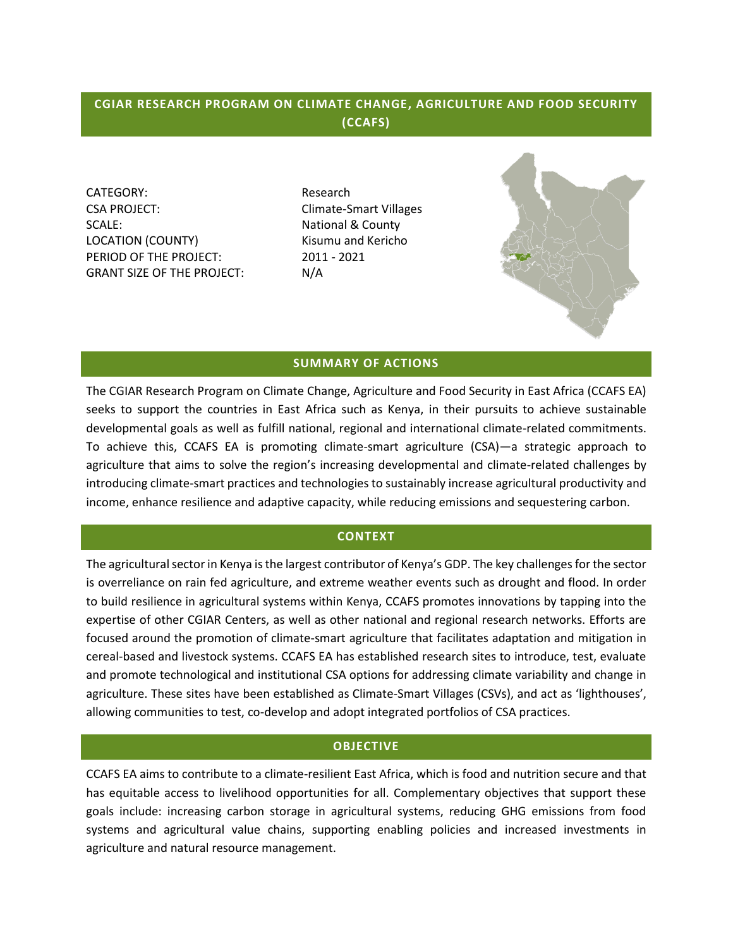# **CGIAR RESEARCH PROGRAM ON CLIMATE CHANGE, AGRICULTURE AND FOOD SECURITY (CCAFS)**

CATEGORY: Research CSA PROJECT: CSA PROJECT: SCALE: National & County LOCATION (COUNTY) Kisumu and Kericho PERIOD OF THE PROJECT: 2011 - 2021 GRANT SIZE OF THE PROJECT: N/A



### **SUMMARY OF ACTIONS**

The CGIAR Research Program on Climate Change, Agriculture and Food Security in East Africa (CCAFS EA) seeks to support the countries in East Africa such as Kenya, in their pursuits to achieve sustainable developmental goals as well as fulfill national, regional and international climate-related commitments. To achieve this, CCAFS EA is promoting climate-smart agriculture (CSA)—a strategic approach to agriculture that aims to solve the region's increasing developmental and climate-related challenges by introducing climate-smart practices and technologies to sustainably increase agricultural productivity and income, enhance resilience and adaptive capacity, while reducing emissions and sequestering carbon.

### **CONTEXT**

The agricultural sector in Kenya is the largest contributor of Kenya's GDP. The key challenges for the sector is overreliance on rain fed agriculture, and extreme weather events such as drought and flood. In order to build resilience in agricultural systems within Kenya, CCAFS promotes innovations by tapping into the expertise of other CGIAR Centers, as well as other national and regional research networks. Efforts are focused around the promotion of climate-smart agriculture that facilitates adaptation and mitigation in cereal-based and livestock systems. CCAFS EA has established research sites to introduce, test, evaluate and promote technological and institutional CSA options for addressing climate variability and change in agriculture. These sites have been established as Climate-Smart Villages (CSVs), and act as 'lighthouses', allowing communities to test, co-develop and adopt integrated portfolios of CSA practices.

### **OBJECTIVE**

CCAFS EA aims to contribute to a climate-resilient East Africa, which is food and nutrition secure and that has equitable access to livelihood opportunities for all. Complementary objectives that support these goals include: increasing carbon storage in agricultural systems, reducing GHG emissions from food systems and agricultural value chains, supporting enabling policies and increased investments in agriculture and natural resource management.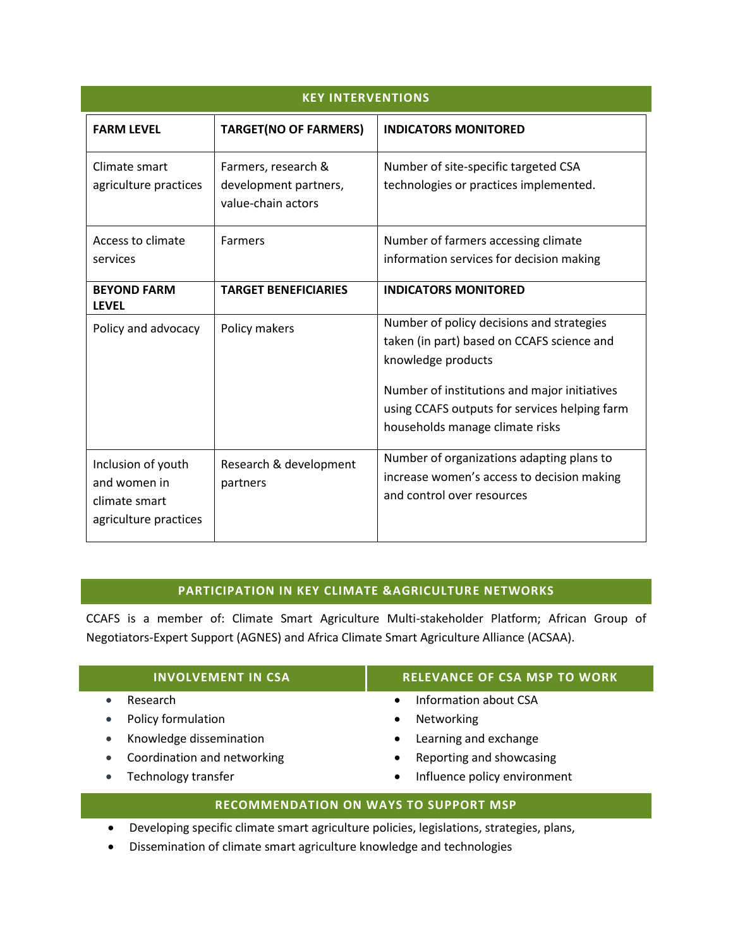| <b>KEY INTERVENTIONS</b>                                                     |                                                                    |                                                                                                                                                                                                                                                   |  |
|------------------------------------------------------------------------------|--------------------------------------------------------------------|---------------------------------------------------------------------------------------------------------------------------------------------------------------------------------------------------------------------------------------------------|--|
| <b>FARM LEVEL</b>                                                            | <b>TARGET(NO OF FARMERS)</b>                                       | <b>INDICATORS MONITORED</b>                                                                                                                                                                                                                       |  |
| Climate smart<br>agriculture practices                                       | Farmers, research &<br>development partners,<br>value-chain actors | Number of site-specific targeted CSA<br>technologies or practices implemented.                                                                                                                                                                    |  |
| Access to climate<br>services                                                | <b>Farmers</b>                                                     | Number of farmers accessing climate<br>information services for decision making                                                                                                                                                                   |  |
| <b>BEYOND FARM</b><br><b>LEVEL</b>                                           | <b>TARGET BENEFICIARIES</b>                                        | <b>INDICATORS MONITORED</b>                                                                                                                                                                                                                       |  |
| Policy and advocacy                                                          | Policy makers                                                      | Number of policy decisions and strategies<br>taken (in part) based on CCAFS science and<br>knowledge products<br>Number of institutions and major initiatives<br>using CCAFS outputs for services helping farm<br>households manage climate risks |  |
| Inclusion of youth<br>and women in<br>climate smart<br>agriculture practices | Research & development<br>partners                                 | Number of organizations adapting plans to<br>increase women's access to decision making<br>and control over resources                                                                                                                             |  |

# **PARTICIPATION IN KEY CLIMATE &AGRICULTURE NETWORKS**

CCAFS is a member of: Climate Smart Agriculture Multi-stakeholder Platform; African Group of Negotiators-Expert Support (AGNES) and Africa Climate Smart Agriculture Alliance (ACSAA).

|                                              | <b>INVOLVEMENT IN CSA</b>   | <b>RELEVANCE OF CSA MSP TO WORK</b>       |  |  |
|----------------------------------------------|-----------------------------|-------------------------------------------|--|--|
|                                              | Research                    | Information about CSA<br>$\bullet$        |  |  |
| $\bullet$                                    | Policy formulation          | Networking<br>٠                           |  |  |
| $\bullet$                                    | Knowledge dissemination     | Learning and exchange<br>$\bullet$        |  |  |
| $\bullet$                                    | Coordination and networking | Reporting and showcasing<br>$\bullet$     |  |  |
|                                              | Technology transfer         | Influence policy environment<br>$\bullet$ |  |  |
| <b>RECOMMENDATION ON WAYS TO SUPPORT MSP</b> |                             |                                           |  |  |

- Developing specific climate smart agriculture policies, legislations, strategies, plans,
- Dissemination of climate smart agriculture knowledge and technologies